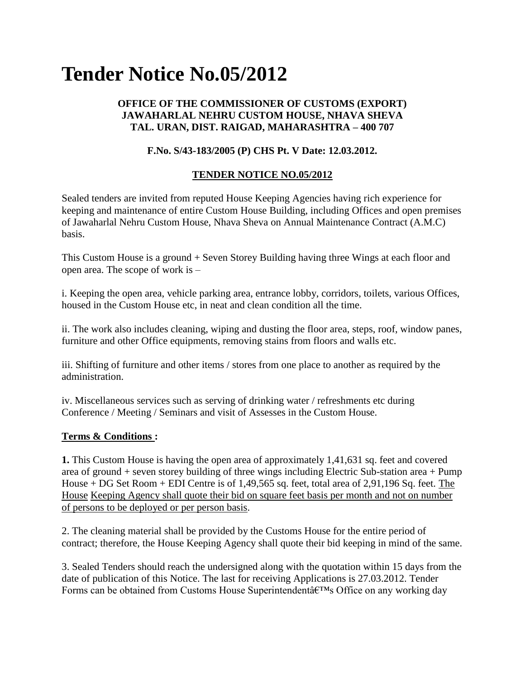# **Tender Notice No.05/2012**

### **OFFICE OF THE COMMISSIONER OF CUSTOMS (EXPORT) JAWAHARLAL NEHRU CUSTOM HOUSE, NHAVA SHEVA TAL. URAN, DIST. RAIGAD, MAHARASHTRA – 400 707**

# **F.No. S/43-183/2005 (P) CHS Pt. V Date: 12.03.2012.**

# **TENDER NOTICE NO.05/2012**

Sealed tenders are invited from reputed House Keeping Agencies having rich experience for keeping and maintenance of entire Custom House Building, including Offices and open premises of Jawaharlal Nehru Custom House, Nhava Sheva on Annual Maintenance Contract (A.M.C) basis.

This Custom House is a ground + Seven Storey Building having three Wings at each floor and open area. The scope of work is –

i. Keeping the open area, vehicle parking area, entrance lobby, corridors, toilets, various Offices, housed in the Custom House etc, in neat and clean condition all the time.

ii. The work also includes cleaning, wiping and dusting the floor area, steps, roof, window panes, furniture and other Office equipments, removing stains from floors and walls etc.

iii. Shifting of furniture and other items / stores from one place to another as required by the administration.

iv. Miscellaneous services such as serving of drinking water / refreshments etc during Conference / Meeting / Seminars and visit of Assesses in the Custom House.

#### **Terms & Conditions :**

**1.** This Custom House is having the open area of approximately 1,41,631 sq. feet and covered area of ground + seven storey building of three wings including Electric Sub-station area + Pump House + DG Set Room + EDI Centre is of 1,49,565 sq. feet, total area of 2,91,196 Sq. feet. The House Keeping Agency shall quote their bid on square feet basis per month and not on number of persons to be deployed or per person basis.

2. The cleaning material shall be provided by the Customs House for the entire period of contract; therefore, the House Keeping Agency shall quote their bid keeping in mind of the same.

3. Sealed Tenders should reach the undersigned along with the quotation within 15 days from the date of publication of this Notice. The last for receiving Applications is 27.03.2012. Tender Forms can be obtained from Customs House Superintendent $\hat{a} \in T^{M}$ s Office on any working day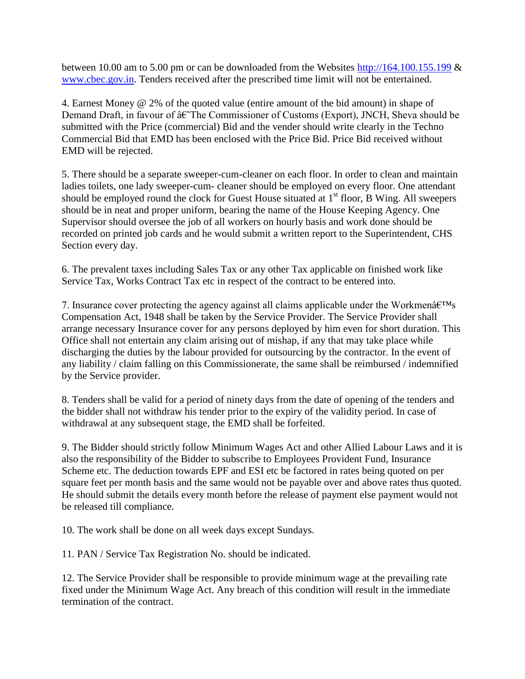between 10.00 am to 5.00 pm or can be downloaded from the Websites [http://164.100.155.199](http://164.100.155.199/)  $\&$ [www.cbec.gov.in.](http://www.cbec.gov.in/) Tenders received after the prescribed time limit will not be entertained.

4. Earnest Money @ 2% of the quoted value (entire amount of the bid amount) in shape of Demand Draft, in favour of  $\hat{a}\hat{\epsilon}$ The Commissioner of Customs (Export), JNCH, Sheva should be submitted with the Price (commercial) Bid and the vender should write clearly in the Techno Commercial Bid that EMD has been enclosed with the Price Bid. Price Bid received without EMD will be rejected.

5. There should be a separate sweeper-cum-cleaner on each floor. In order to clean and maintain ladies toilets, one lady sweeper-cum- cleaner should be employed on every floor. One attendant should be employed round the clock for Guest House situated at  $1<sup>st</sup>$  floor, B Wing. All sweepers should be in neat and proper uniform, bearing the name of the House Keeping Agency. One Supervisor should oversee the job of all workers on hourly basis and work done should be recorded on printed job cards and he would submit a written report to the Superintendent, CHS Section every day.

6. The prevalent taxes including Sales Tax or any other Tax applicable on finished work like Service Tax, Works Contract Tax etc in respect of the contract to be entered into.

7. Insurance cover protecting the agency against all claims applicable under the Workmen $\hat{a}\in\mathbb{R}^{TM}$ Compensation Act, 1948 shall be taken by the Service Provider. The Service Provider shall arrange necessary Insurance cover for any persons deployed by him even for short duration. This Office shall not entertain any claim arising out of mishap, if any that may take place while discharging the duties by the labour provided for outsourcing by the contractor. In the event of any liability / claim falling on this Commissionerate, the same shall be reimbursed / indemnified by the Service provider.

8. Tenders shall be valid for a period of ninety days from the date of opening of the tenders and the bidder shall not withdraw his tender prior to the expiry of the validity period. In case of withdrawal at any subsequent stage, the EMD shall be forfeited.

9. The Bidder should strictly follow Minimum Wages Act and other Allied Labour Laws and it is also the responsibility of the Bidder to subscribe to Employees Provident Fund, Insurance Scheme etc. The deduction towards EPF and ESI etc be factored in rates being quoted on per square feet per month basis and the same would not be payable over and above rates thus quoted. He should submit the details every month before the release of payment else payment would not be released till compliance.

10. The work shall be done on all week days except Sundays.

11. PAN / Service Tax Registration No. should be indicated.

12. The Service Provider shall be responsible to provide minimum wage at the prevailing rate fixed under the Minimum Wage Act. Any breach of this condition will result in the immediate termination of the contract.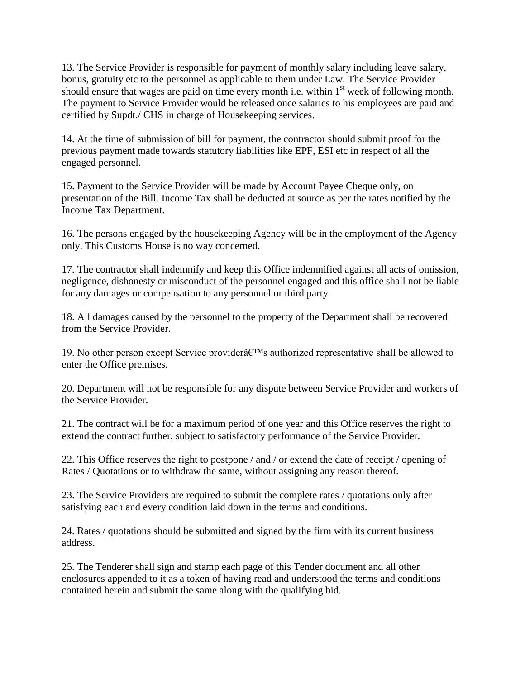13. The Service Provider is responsible for payment of monthly salary including leave salary, bonus, gratuity etc to the personnel as applicable to them under Law. The Service Provider should ensure that wages are paid on time every month i.e. within 1<sup>st</sup> week of following month. The payment to Service Provider would be released once salaries to his employees are paid and certified by Supdt./ CHS in charge of Housekeeping services.

14. At the time of submission of bill for payment, the contractor should submit proof for the previous payment made towards statutory liabilities like EPF, ESI etc in respect of all the engaged personnel.

15. Payment to the Service Provider will be made by Account Payee Cheque only, on presentation of the Bill. Income Tax shall be deducted at source as per the rates notified by the Income Tax Department.

16. The persons engaged by the housekeeping Agency will be in the employment of the Agency only. This Customs House is no way concerned.

17. The contractor shall indemnify and keep this Office indemnified against all acts of omission, negligence, dishonesty or misconduct of the personnel engaged and this office shall not be liable for any damages or compensation to any personnel or third party.

18. All damages caused by the personnel to the property of the Department shall be recovered from the Service Provider.

19. No other person except Service provider $\hat{\mathbf{a}} \in \mathbb{R}^m$ s authorized representative shall be allowed to enter the Office premises.

20. Department will not be responsible for any dispute between Service Provider and workers of the Service Provider.

21. The contract will be for a maximum period of one year and this Office reserves the right to extend the contract further, subject to satisfactory performance of the Service Provider.

22. This Office reserves the right to postpone / and / or extend the date of receipt / opening of Rates / Quotations or to withdraw the same, without assigning any reason thereof.

23. The Service Providers are required to submit the complete rates / quotations only after satisfying each and every condition laid down in the terms and conditions.

24. Rates / quotations should be submitted and signed by the firm with its current business address.

25. The Tenderer shall sign and stamp each page of this Tender document and all other enclosures appended to it as a token of having read and understood the terms and conditions contained herein and submit the same along with the qualifying bid.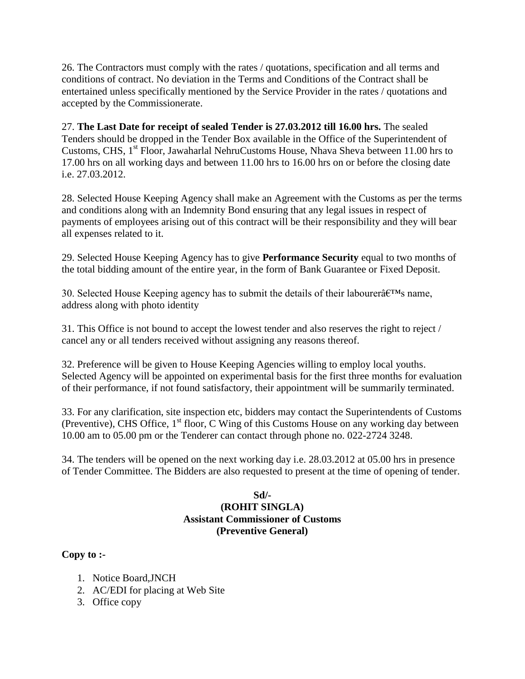26. The Contractors must comply with the rates / quotations, specification and all terms and conditions of contract. No deviation in the Terms and Conditions of the Contract shall be entertained unless specifically mentioned by the Service Provider in the rates / quotations and accepted by the Commissionerate.

27. **The Last Date for receipt of sealed Tender is 27.03.2012 till 16.00 hrs.** The sealed Tenders should be dropped in the Tender Box available in the Office of the Superintendent of Customs, CHS, 1<sup>st</sup> Floor, Jawaharlal NehruCustoms House, Nhava Sheva between 11.00 hrs to 17.00 hrs on all working days and between 11.00 hrs to 16.00 hrs on or before the closing date i.e. 27.03.2012.

28. Selected House Keeping Agency shall make an Agreement with the Customs as per the terms and conditions along with an Indemnity Bond ensuring that any legal issues in respect of payments of employees arising out of this contract will be their responsibility and they will bear all expenses related to it.

29. Selected House Keeping Agency has to give **Performance Security** equal to two months of the total bidding amount of the entire year, in the form of Bank Guarantee or Fixed Deposit.

30. Selected House Keeping agency has to submit the details of their labourer $\hat{a} \in T^{M}$ s name, address along with photo identity

31. This Office is not bound to accept the lowest tender and also reserves the right to reject / cancel any or all tenders received without assigning any reasons thereof.

32. Preference will be given to House Keeping Agencies willing to employ local youths. Selected Agency will be appointed on experimental basis for the first three months for evaluation of their performance, if not found satisfactory, their appointment will be summarily terminated.

33. For any clarification, site inspection etc, bidders may contact the Superintendents of Customs (Preventive), CHS Office,  $1<sup>st</sup>$  floor, C Wing of this Customs House on any working day between 10.00 am to 05.00 pm or the Tenderer can contact through phone no. 022-2724 3248.

34. The tenders will be opened on the next working day i.e. 28.03.2012 at 05.00 hrs in presence of Tender Committee. The Bidders are also requested to present at the time of opening of tender.

## **Sd/- (ROHIT SINGLA) Assistant Commissioner of Customs (Preventive General)**

# **Copy to :-**

- 1. Notice Board,JNCH
- 2. AC/EDI for placing at Web Site
- 3. Office copy